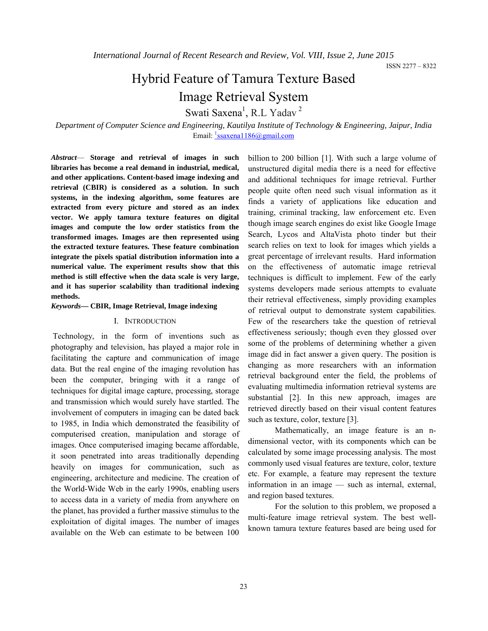# Hybrid Feature of Tamura Texture Based Image Retrieval System

Swati Saxena<sup>1</sup>, R.L Yadav<sup>2</sup>

*Department of Computer Science and Engineering, Kautilya Institute of Technology & Engineering, Jaipur, India* Email: <sup>1</sup>ssaxena1186@gmail.com

*Abstract*— **Storage and retrieval of images in such libraries has become a real demand in industrial, medical, and other applications. Content-based image indexing and retrieval (CBIR) is considered as a solution. In such systems, in the indexing algorithm, some features are extracted from every picture and stored as an index vector. We apply tamura texture features on digital images and compute the low order statistics from the transformed images. Images are then represented using the extracted texture features. These feature combination integrate the pixels spatial distribution information into a numerical value. The experiment results show that this method is still effective when the data scale is very large, and it has superior scalability than traditional indexing methods.** 

#### *Keywords***— CBIR, Image Retrieval, Image indexing**

#### I. INTRODUCTION

Technology, in the form of inventions such as photography and television, has played a major role in facilitating the capture and communication of image data. But the real engine of the imaging revolution has been the computer, bringing with it a range of techniques for digital image capture, processing, storage and transmission which would surely have startled. The involvement of computers in imaging can be dated back to 1985, in India which demonstrated the feasibility of computerised creation, manipulation and storage of images. Once computerised imaging became affordable, it soon penetrated into areas traditionally depending heavily on images for communication, such as engineering, architecture and medicine. The creation of the World-Wide Web in the early 1990s, enabling users to access data in a variety of media from anywhere on the planet, has provided a further massive stimulus to the exploitation of digital images. The number of images available on the Web can estimate to be between 100

billion to 200 billion [1]. With such a large volume of unstructured digital media there is a need for effective and additional techniques for image retrieval. Further people quite often need such visual information as it finds a variety of applications like education and training, criminal tracking, law enforcement etc. Even though image search engines do exist like Google Image Search, Lycos and AltaVista photo tinder but their search relies on text to look for images which yields a great percentage of irrelevant results. Hard information on the effectiveness of automatic image retrieval techniques is difficult to implement. Few of the early systems developers made serious attempts to evaluate their retrieval effectiveness, simply providing examples of retrieval output to demonstrate system capabilities. Few of the researchers take the question of retrieval effectiveness seriously; though even they glossed over some of the problems of determining whether a given image did in fact answer a given query. The position is changing as more researchers with an information retrieval background enter the field, the problems of evaluating multimedia information retrieval systems are substantial [2]. In this new approach, images are retrieved directly based on their visual content features such as texture, color, texture [3].

Mathematically, an image feature is an ndimensional vector, with its components which can be calculated by some image processing analysis. The most commonly used visual features are texture, color, texture etc. For example, a feature may represent the texture information in an image — such as internal, external, and region based textures.

 For the solution to this problem, we proposed a multi-feature image retrieval system. The best wellknown tamura texture features based are being used for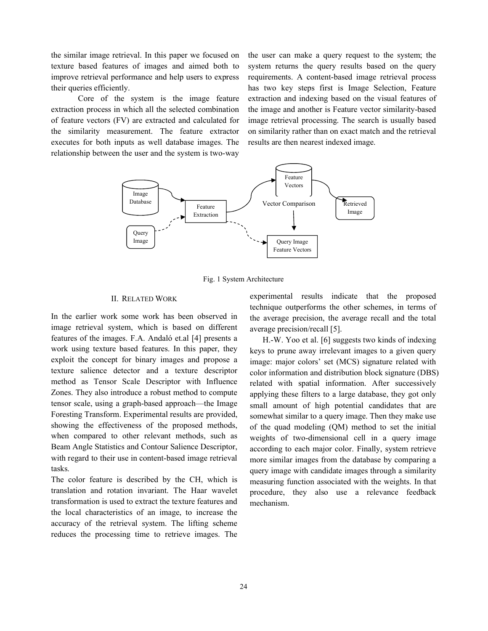the similar image retrieval. In this paper we focused on texture based features of images and aimed both to improve retrieval performance and help users to express their queries efficiently.

Core of the system is the image feature extraction process in which all the selected combination of feature vectors (FV) are extracted and calculated for the similarity measurement. The feature extractor executes for both inputs as well database images. The relationship between the user and the system is two-way

the user can make a query request to the system; the system returns the query results based on the query requirements. A content-based image retrieval process has two key steps first is Image Selection, Feature extraction and indexing based on the visual features of the image and another is Feature vector similarity-based image retrieval processing. The search is usually based on similarity rather than on exact match and the retrieval results are then nearest indexed image.



Fig. 1 System Architecture

#### II. RELATED WORK

In the earlier work some work has been observed in image retrieval system, which is based on different features of the images. F.A. Andaló et.al [4] presents a work using texture based features. In this paper, they exploit the concept for binary images and propose a texture salience detector and a texture descriptor method as Tensor Scale Descriptor with Influence Zones. They also introduce a robust method to compute tensor scale, using a graph-based approach—the Image Foresting Transform. Experimental results are provided, showing the effectiveness of the proposed methods, when compared to other relevant methods, such as Beam Angle Statistics and Contour Salience Descriptor, with regard to their use in content-based image retrieval tasks.

The color feature is described by the CH, which is translation and rotation invariant. The Haar wavelet transformation is used to extract the texture features and the local characteristics of an image, to increase the accuracy of the retrieval system. The lifting scheme reduces the processing time to retrieve images. The experimental results indicate that the proposed technique outperforms the other schemes, in terms of the average precision, the average recall and the total average precision/recall [5].

H.-W. Yoo et al. [6] suggests two kinds of indexing keys to prune away irrelevant images to a given query image: major colors' set (MCS) signature related with color information and distribution block signature (DBS) related with spatial information. After successively applying these filters to a large database, they got only small amount of high potential candidates that are somewhat similar to a query image. Then they make use of the quad modeling (QM) method to set the initial weights of two-dimensional cell in a query image according to each major color. Finally, system retrieve more similar images from the database by comparing a query image with candidate images through a similarity measuring function associated with the weights. In that procedure, they also use a relevance feedback mechanism.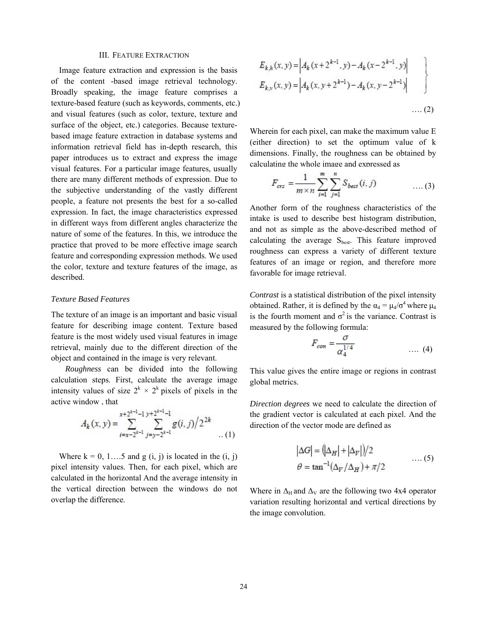#### III. FEATURE EXTRACTION

Image feature extraction and expression is the basis of the content -based image retrieval technology. Broadly speaking, the image feature comprises a texture-based feature (such as keywords, comments, etc.) and visual features (such as color, texture, texture and surface of the object, etc.) categories. Because texturebased image feature extraction in database systems and information retrieval field has in-depth research, this paper introduces us to extract and express the image visual features. For a particular image features, usually there are many different methods of expression. Due to the subjective understanding of the vastly different people, a feature not presents the best for a so-called expression. In fact, the image characteristics expressed in different ways from different angles characterize the nature of some of the features. In this, we introduce the practice that proved to be more effective image search feature and corresponding expression methods. We used the color, texture and texture features of the image, as described.

#### *Texture Based Features*

The texture of an image is an important and basic visual feature for describing image content. Texture based feature is the most widely used visual features in image retrieval, mainly due to the different direction of the object and contained in the image is very relevant.

 *Roughness* can be divided into the following calculation steps. First, calculate the average image intensity values of size  $2^k \times 2^k$  pixels of pixels in the active window , that **NO. 1988** 

$$
A_k(x, y) = \sum_{i=x-2^{k-1}}^{x+2^{k-1}-1} \sum_{j=y-2^{k-1}}^{y+2^{k-1}-1} g(i, j)/2^{2k}
$$
 (1)

Where  $k = 0, 1, \ldots, 5$  and  $g(i, j)$  is located in the  $(i, j)$ pixel intensity values. Then, for each pixel, which are calculated in the horizontal And the average intensity in the vertical direction between the windows do not overlap the difference.

$$
E_{k,h}(x, y) = \left| A_k(x + 2^{k-1}, y) - A_k(x - 2^{k-1}, y) \right|
$$
  

$$
E_{k,v}(x, y) = \left| A_k(x, y + 2^{k-1}) - A_k(x, y - 2^{k-1}) \right|
$$
  
.... (2)

Wherein for each pixel, can make the maximum value E (either direction) to set the optimum value of k dimensions. Finally, the roughness can be obtained by calculating the whole image and expressed as

$$
F_{\text{crs}} = \frac{1}{m \times n} \sum_{i=1}^{m} \sum_{j=1}^{n} S_{\text{best}}(i, j) \quad \dots (3)
$$

Another form of the roughness characteristics of the intake is used to describe best histogram distribution, and not as simple as the above-described method of calculating the average  $S_{best}$ . This feature improved roughness can express a variety of different texture features of an image or region, and therefore more favorable for image retrieval.

*Contrast* is a statistical distribution of the pixel intensity obtained. Rather, it is defined by the  $\alpha_4 = \mu_4/\sigma^4$  where  $\mu_4$ is the fourth moment and  $\sigma^2$  is the variance. Contrast is measured by the following formula:

$$
F_{con} = \frac{O}{\alpha_4^{1/4}} \qquad \qquad \dots (4)
$$

This value gives the entire image or regions in contrast global metrics.

*Direction degrees* we need to calculate the direction of the gradient vector is calculated at each pixel. And the direction of the vector mode are defined as

$$
|\Delta G| = (|\Delta_H| + |\Delta_V|)/2
$$
  

$$
\theta = \tan^{-1}(\Delta_V/\Delta_H) + \pi/2
$$
 (5)

Where in  $\Delta_H$  and  $\Delta_V$  are the following two 4x4 operator variation resulting horizontal and vertical directions by the image convolution.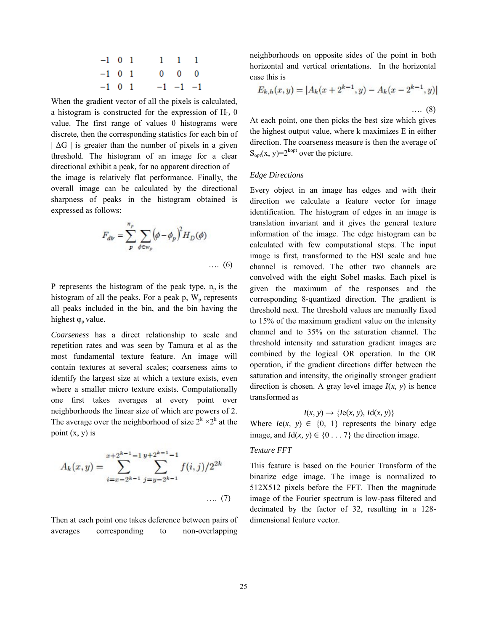| $-1$ 0 1 |  | $1 \quad 1 \quad 1$ |                   |  |
|----------|--|---------------------|-------------------|--|
| $-1$ 0 1 |  |                     | $0\quad 0\quad 0$ |  |
| $-1$ 0 1 |  |                     | $-1$ $-1$ $-1$    |  |

When the gradient vector of all the pixels is calculated, a histogram is constructed for the expression of H<sub>D</sub>  $\theta$ value. The first range of values θ histograms were discrete, then the corresponding statistics for each bin of  $|\Delta G|$  is greater than the number of pixels in a given threshold. The histogram of an image for a clear directional exhibit a peak, for no apparent direction of the image is relatively flat performance. Finally, the overall image can be calculated by the directional sharpness of peaks in the histogram obtained is expressed as follows:

$$
F_{dir} = \sum_{p}^{n_p} \sum_{\phi \in w_p} (\phi - \phi_p)^2 H_D(\phi)
$$
.... (6)

P represents the histogram of the peak type,  $n_p$  is the histogram of all the peaks. For a peak  $p$ ,  $W_p$  represents all peaks included in the bin, and the bin having the highest  $\varphi$ <sub>p</sub> value.

*Coarseness* has a direct relationship to scale and repetition rates and was seen by Tamura et al as the most fundamental texture feature. An image will contain textures at several scales; coarseness aims to identify the largest size at which a texture exists, even where a smaller micro texture exists. Computationally one first takes averages at every point over neighborhoods the linear size of which are powers of 2. The average over the neighborhood of size  $2^k \times 2^k$  at the point  $(x, y)$  is

$$
A_k(x,y) = \sum_{i=x-2^{k-1}}^{x+2^{k-1}-1} \sum_{j=y-2^{k-1}}^{y+2^{k-1}-1} f(i,j)/2^{2k}
$$
.... (7)

Then at each point one takes deference between pairs of averages corresponding to non-overlapping

neighborhoods on opposite sides of the point in both horizontal and vertical orientations. In the horizontal case this is

$$
E_{k,h}(x,y) = |A_k(x + 2^{k-1}, y) - A_k(x - 2^{k-1}, y)|
$$
  
.... (8)

At each point, one then picks the best size which gives the highest output value, where k maximizes E in either direction. The coarseness measure is then the average of  $S_{opt}(x, y) = 2^{kopt}$  over the picture.

## *Edge Directions*

Every object in an image has edges and with their direction we calculate a feature vector for image identification. The histogram of edges in an image is translation invariant and it gives the general texture information of the image. The edge histogram can be calculated with few computational steps. The input image is first, transformed to the HSI scale and hue channel is removed. The other two channels are convolved with the eight Sobel masks. Each pixel is given the maximum of the responses and the corresponding 8-quantized direction. The gradient is threshold next. The threshold values are manually fixed to 15% of the maximum gradient value on the intensity channel and to 35% on the saturation channel. The threshold intensity and saturation gradient images are combined by the logical OR operation. In the OR operation, if the gradient directions differ between the saturation and intensity, the originally stronger gradient direction is chosen. A gray level image  $I(x, y)$  is hence transformed as

## $I(x, y) \rightarrow \{Ie(x, y), Id(x, y)\}\$

Where  $Ie(x, y) \in \{0, 1\}$  represents the binary edge image, and  $Id(x, y) \in \{0, \ldots, 7\}$  the direction image.

#### *Texture FFT*

This feature is based on the Fourier Transform of the binarize edge image. The image is normalized to 512X512 pixels before the FFT. Then the magnitude image of the Fourier spectrum is low-pass filtered and decimated by the factor of 32, resulting in a 128 dimensional feature vector.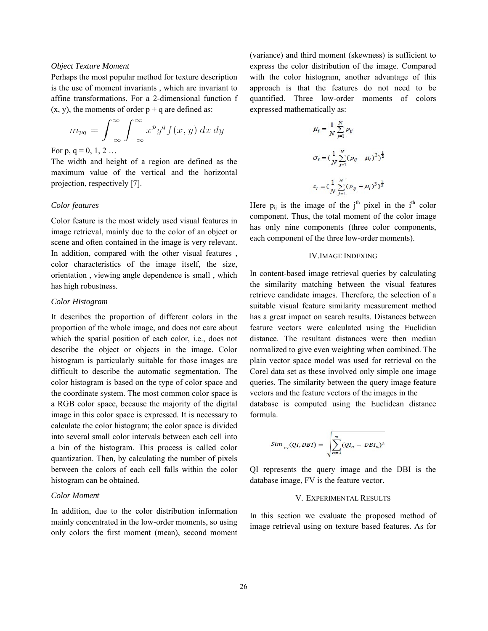## *Object Texture Moment*

Perhaps the most popular method for texture description is the use of moment invariants , which are invariant to affine transformations. For a 2-dimensional function f  $(x, y)$ , the moments of order  $p + q$  are defined as:

$$
m_{pq} = \int_{-\infty}^{\infty} \int_{-\infty}^{\infty} x^p y^q f(x, y) \, dx \, dy
$$

For p,  $q = 0, 1, 2...$ 

The width and height of a region are defined as the maximum value of the vertical and the horizontal projection, respectively [7].

#### *Color features*

Color feature is the most widely used visual features in image retrieval, mainly due to the color of an object or scene and often contained in the image is very relevant. In addition, compared with the other visual features , color characteristics of the image itself, the size, orientation , viewing angle dependence is small , which has high robustness.

#### *Color Histogram*

It describes the proportion of different colors in the proportion of the whole image, and does not care about which the spatial position of each color, i.e., does not describe the object or objects in the image. Color histogram is particularly suitable for those images are difficult to describe the automatic segmentation. The color histogram is based on the type of color space and the coordinate system. The most common color space is a RGB color space, because the majority of the digital image in this color space is expressed. It is necessary to calculate the color histogram; the color space is divided into several small color intervals between each cell into a bin of the histogram. This process is called color quantization. Then, by calculating the number of pixels between the colors of each cell falls within the color histogram can be obtained.

#### *Color Moment*

In addition, due to the color distribution information mainly concentrated in the low-order moments, so using only colors the first moment (mean), second moment

(variance) and third moment (skewness) is sufficient to express the color distribution of the image. Compared with the color histogram, another advantage of this approach is that the features do not need to be quantified. Three low-order moments of colors expressed mathematically as:

$$
\mu_i = \frac{1}{N} \sum_{j=1}^{N} p_{ij}
$$
  

$$
\sigma_i = \left(\frac{1}{N} \sum_{j=1}^{N} (p_{ij} - \mu_i)^2\right)^{\frac{1}{2}}
$$
  

$$
s_i = \left(\frac{1}{N} \sum_{j=1}^{N} (p_{ij} - \mu_i)^3\right)^{\frac{1}{3}}
$$

Here  $p_{ij}$  is the image of the j<sup>th</sup> pixel in the i<sup>th</sup> color component. Thus, the total moment of the color image has only nine components (three color components, each component of the three low-order moments).

#### IV.IMAGE INDEXING

In content-based image retrieval queries by calculating the similarity matching between the visual features retrieve candidate images. Therefore, the selection of a suitable visual feature similarity measurement method has a great impact on search results. Distances between feature vectors were calculated using the Euclidian distance. The resultant distances were then median normalized to give even weighting when combined. The plain vector space model was used for retrieval on the Corel data set as these involved only simple one image queries. The similarity between the query image feature vectors and the feature vectors of the images in the

database is computed using the Euclidean distance formula.

$$
Sim_{\text{FV}}(QI,DBI) = \sqrt{\sum_{n=1}^{m} (QI_n - DBI_n)^2}
$$

QI represents the query image and the DBI is the database image, FV is the feature vector.

#### V. EXPERIMENTAL RESULTS

In this section we evaluate the proposed method of image retrieval using on texture based features. As for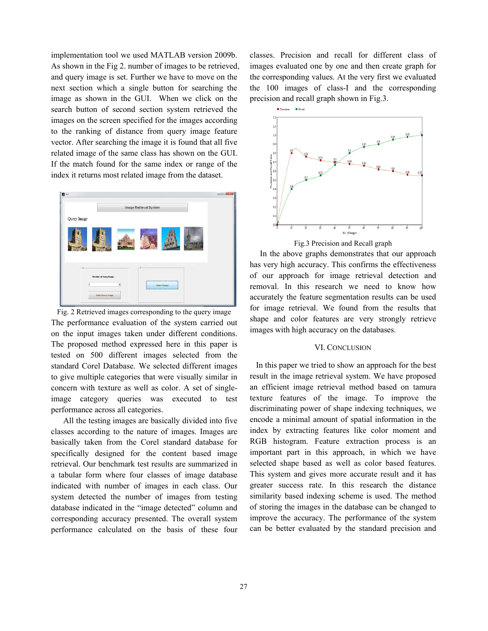implementation tool we used MATLAB version 2009b. As shown in the Fig 2. number of images to be retrieved, and query image is set. Further we have to move on the next section which a single button for searching the image as shown in the GUI. When we click on the search button of second section system retrieved the images on the screen specified for the images according to the ranking of distance from query image feature vector. After searching the image it is found that all five related image of the same class has shown on the GUI. If the match found for the same index or range of the index it returns most related image from the dataset.



Fig. 2 Retrieved images corresponding to the query image The performance evaluation of the system carried out on the input images taken under different conditions. The proposed method expressed here in this paper is tested on 500 different images selected from the standard Corel Database. We selected different images to give multiple categories that were visually similar in concern with texture as well as color. A set of singleimage category queries was executed to test performance across all categories.

 All the testing images are basically divided into five classes according to the nature of images. Images are basically taken from the Corel standard database for specifically designed for the content based image retrieval. Our benchmark test results are summarized in a tabular form where four classes of image database indicated with number of images in each class. Our system detected the number of images from testing database indicated in the "image detected" column and corresponding accuracy presented. The overall system performance calculated on the basis of these four classes. Precision and recall for different class of images evaluated one by one and then create graph for the corresponding values. At the very first we evaluated the 100 images of class-I and the corresponding precision and recall graph shown in Fig.3.



Fig.3 Precision and Recall graph

In the above graphs demonstrates that our approach has very high accuracy. This confirms the effectiveness of our approach for image retrieval detection and removal. In this research we need to know how accurately the feature segmentation results can be used for image retrieval. We found from the results that shape and color features are very strongly retrieve images with high accuracy on the databases.

#### VI. CONCLUSION

 In this paper we tried to show an approach for the best result in the image retrieval system. We have proposed an efficient image retrieval method based on tamura texture features of the image. To improve the discriminating power of shape indexing techniques, we encode a minimal amount of spatial information in the index by extracting features like color moment and RGB histogram. Feature extraction process is an important part in this approach, in which we have selected shape based as well as color based features. This system and gives more accurate result and it has greater success rate. In this research the distance similarity based indexing scheme is used. The method of storing the images in the database can be changed to improve the accuracy. The performance of the system can be better evaluated by the standard precision and